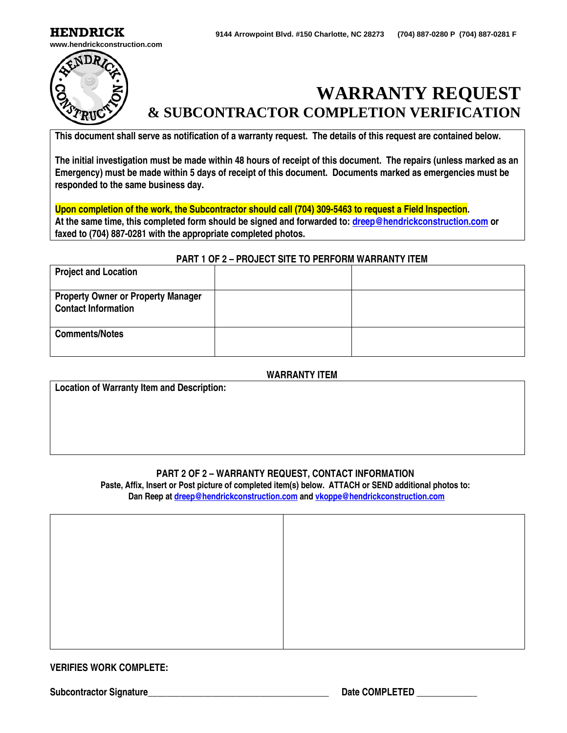**HENDRICK 9144 Arrowpoint Blvd. #150 Charlotte, NC <sup>28273</sup> (704) 887-0280 P (704) 887-0281 F**



**www.hendrickconstruction.com**



# **WARRANTY REQUEST & SUBCONTRACTOR COMPLETION VERIFICATION**

**This document shall serve as notification of a warranty request. The details of this request are contained below.**

**The initial investigation must be made within 48 hours of receipt of this document. The repairs (unless marked as an Emergency) must be made within 5 days of receipt of this document. Documents marked as emergencies must be responded to the same business day.** 

**Upon completion of the work, the Subcontractor should call (704) 309-5463 to request a Field Inspection. At the same time, this completed form should be signed and forwarded to[: dreep@hendrickconstruction.com](mailto:dreep@hendrickconstruction.com) or faxed to (704) 887-0281 with the appropriate completed photos.**

### **PART 1 OF 2 – PROJECT SITE TO PERFORM WARRANTY ITEM**

| <b>Project and Location</b>                                             |  |
|-------------------------------------------------------------------------|--|
| <b>Property Owner or Property Manager</b><br><b>Contact Information</b> |  |
| <b>Comments/Notes</b>                                                   |  |

### **WARRANTY ITEM**

**Location of Warranty Item and Description:**

## **PART 2 OF 2 – WARRANTY REQUEST, CONTACT INFORMATION**

**Paste, Affix, Insert or Post picture of completed item(s) below. ATTACH or SEND additional photos to: Dan Reep a[t dreep@hendrickconstruction.com](mailto:dreep@hendrickconstruction.com) an[d vkoppe@hendrickconstruction.com](mailto:vkoppe@hendrickconstruction.com)**

#### **VERIFIES WORK COMPLETE:**

Subcontractor Signature **Network is a set of the Subcontractor Signature** and the Subcontractor Signature **Date COMPLETED**